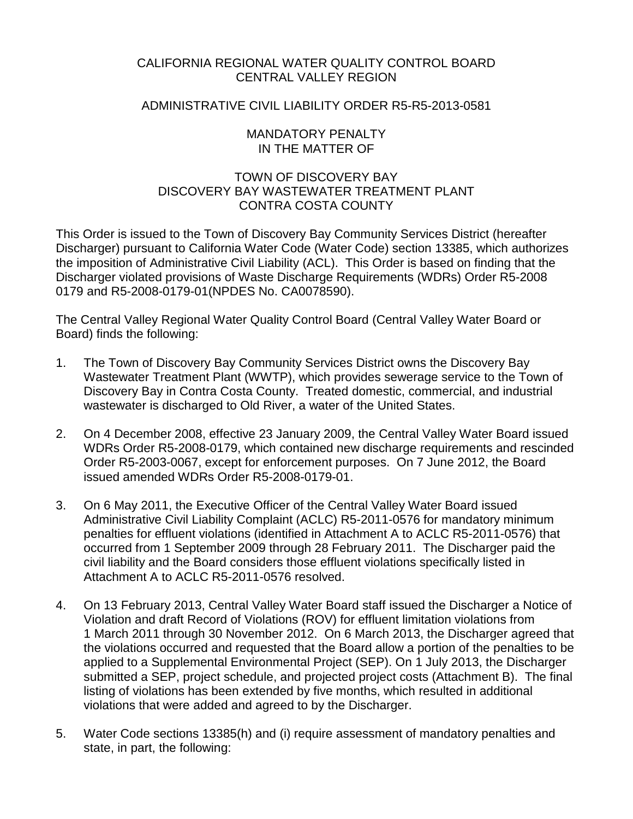# CALIFORNIA REGIONAL WATER QUALITY CONTROL BOARD CENTRAL VALLEY REGION

## ADMINISTRATIVE CIVIL LIABILITY ORDER R5-R5-2013-0581

## MANDATORY PENALTY IN THE MATTER OF

# TOWN OF DISCOVERY BAY DISCOVERY BAY WASTEWATER TREATMENT PLANT CONTRA COSTA COUNTY

This Order is issued to the Town of Discovery Bay Community Services District (hereafter Discharger) pursuant to California Water Code (Water Code) section 13385, which authorizes the imposition of Administrative Civil Liability (ACL). This Order is based on finding that the Discharger violated provisions of Waste Discharge Requirements (WDRs) Order R5-2008 0179 and R5-2008-0179-01(NPDES No. CA0078590).

The Central Valley Regional Water Quality Control Board (Central Valley Water Board or Board) finds the following:

- 1. The Town of Discovery Bay Community Services District owns the Discovery Bay Wastewater Treatment Plant (WWTP), which provides sewerage service to the Town of Discovery Bay in Contra Costa County. Treated domestic, commercial, and industrial wastewater is discharged to Old River, a water of the United States.
- 2. On 4 December 2008, effective 23 January 2009, the Central Valley Water Board issued WDRs Order R5-2008-0179, which contained new discharge requirements and rescinded Order R5-2003-0067, except for enforcement purposes. On 7 June 2012, the Board issued amended WDRs Order R5-2008-0179-01.
- 3. On 6 May 2011, the Executive Officer of the Central Valley Water Board issued Administrative Civil Liability Complaint (ACLC) R5-2011-0576 for mandatory minimum penalties for effluent violations (identified in Attachment A to ACLC R5-2011-0576) that occurred from 1 September 2009 through 28 February 2011. The Discharger paid the civil liability and the Board considers those effluent violations specifically listed in Attachment A to ACLC R5-2011-0576 resolved.
- 4. On 13 February 2013, Central Valley Water Board staff issued the Discharger a Notice of Violation and draft Record of Violations (ROV) for effluent limitation violations from 1 March 2011 through 30 November 2012. On 6 March 2013, the Discharger agreed that the violations occurred and requested that the Board allow a portion of the penalties to be applied to a Supplemental Environmental Project (SEP). On 1 July 2013, the Discharger submitted a SEP, project schedule, and projected project costs (Attachment B). The final listing of violations has been extended by five months, which resulted in additional violations that were added and agreed to by the Discharger.
- 5. Water Code sections 13385(h) and (i) require assessment of mandatory penalties and state, in part, the following: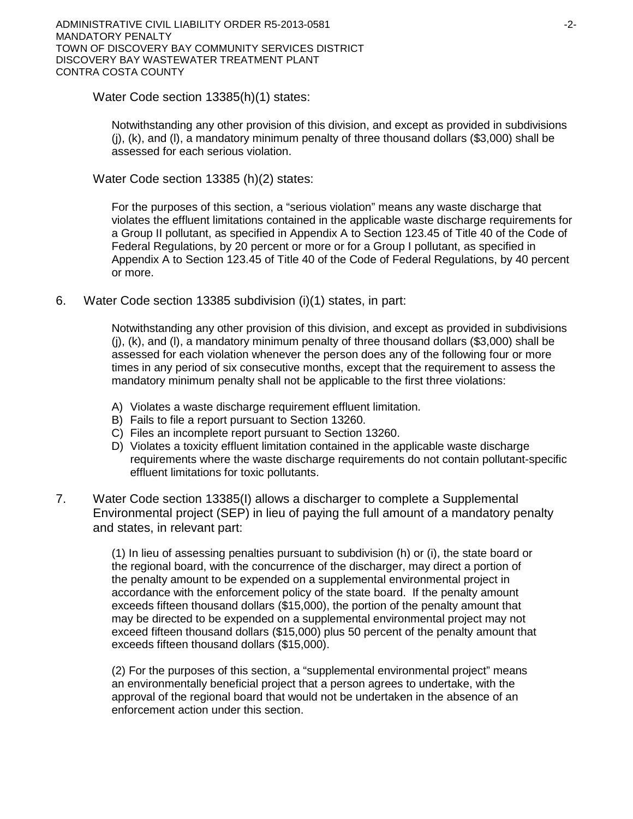Water Code section 13385(h)(1) states:

Notwithstanding any other provision of this division, and except as provided in subdivisions  $(i)$ ,  $(k)$ , and  $(l)$ , a mandatory minimum penalty of three thousand dollars (\$3,000) shall be assessed for each serious violation.

Water Code section 13385 (h)(2) states:

For the purposes of this section, a "serious violation" means any waste discharge that violates the effluent limitations contained in the applicable waste discharge requirements for a Group II pollutant, as specified in Appendix A to Section 123.45 of Title 40 of the Code of Federal Regulations, by 20 percent or more or for a Group I pollutant, as specified in Appendix A to Section 123.45 of Title 40 of the Code of Federal Regulations, by 40 percent or more.

6. Water Code section 13385 subdivision (i)(1) states, in part:

Notwithstanding any other provision of this division, and except as provided in subdivisions (j), (k), and (l), a mandatory minimum penalty of three thousand dollars (\$3,000) shall be assessed for each violation whenever the person does any of the following four or more times in any period of six consecutive months, except that the requirement to assess the mandatory minimum penalty shall not be applicable to the first three violations:

- A) Violates a waste discharge requirement effluent limitation.
- B) Fails to file a report pursuant to Section 13260.
- C) Files an incomplete report pursuant to Section 13260.
- D) Violates a toxicity effluent limitation contained in the applicable waste discharge requirements where the waste discharge requirements do not contain pollutant-specific effluent limitations for toxic pollutants.
- 7. Water Code section 13385(I) allows a discharger to complete a Supplemental Environmental project (SEP) in lieu of paying the full amount of a mandatory penalty and states, in relevant part:

(1) In lieu of assessing penalties pursuant to subdivision (h) or (i), the state board or the regional board, with the concurrence of the discharger, may direct a portion of the penalty amount to be expended on a supplemental environmental project in accordance with the enforcement policy of the state board. If the penalty amount exceeds fifteen thousand dollars (\$15,000), the portion of the penalty amount that may be directed to be expended on a supplemental environmental project may not exceed fifteen thousand dollars (\$15,000) plus 50 percent of the penalty amount that exceeds fifteen thousand dollars (\$15,000).

(2) For the purposes of this section, a "supplemental environmental project" means an environmentally beneficial project that a person agrees to undertake, with the approval of the regional board that would not be undertaken in the absence of an enforcement action under this section.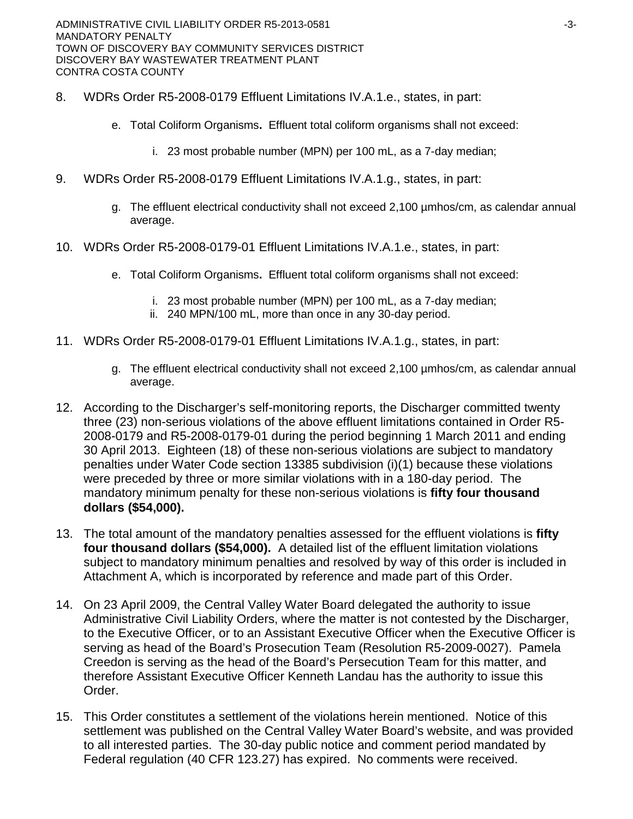- 8. WDRs Order R5-2008-0179 Effluent Limitations IV.A.1.e., states, in part:
	- e. Total Coliform Organisms**.** Effluent total coliform organisms shall not exceed:
		- i. 23 most probable number (MPN) per 100 mL, as a 7-day median;
- 9. WDRs Order R5-2008-0179 Effluent Limitations IV.A.1.g., states, in part:
	- g. The effluent electrical conductivity shall not exceed 2,100 µmhos/cm, as calendar annual average.
- 10. WDRs Order R5-2008-0179-01 Effluent Limitations IV.A.1.e., states, in part:
	- e. Total Coliform Organisms**.** Effluent total coliform organisms shall not exceed:
		- i. 23 most probable number (MPN) per 100 mL, as a 7-day median;
		- ii. 240 MPN/100 mL, more than once in any 30-day period.
- 11. WDRs Order R5-2008-0179-01 Effluent Limitations IV.A.1.g., states, in part:
	- g. The effluent electrical conductivity shall not exceed 2,100 µmhos/cm, as calendar annual average.
- 12. According to the Discharger's self-monitoring reports, the Discharger committed twenty three (23) non-serious violations of the above effluent limitations contained in Order R5- 2008-0179 and R5-2008-0179-01 during the period beginning 1 March 2011 and ending 30 April 2013. Eighteen (18) of these non-serious violations are subject to mandatory penalties under Water Code section 13385 subdivision (i)(1) because these violations were preceded by three or more similar violations with in a 180-day period. The mandatory minimum penalty for these non-serious violations is **fifty four thousand dollars (\$54,000).**
- 13. The total amount of the mandatory penalties assessed for the effluent violations is **fifty four thousand dollars (\$54,000).** A detailed list of the effluent limitation violations subject to mandatory minimum penalties and resolved by way of this order is included in Attachment A, which is incorporated by reference and made part of this Order.
- 14. On 23 April 2009, the Central Valley Water Board delegated the authority to issue Administrative Civil Liability Orders, where the matter is not contested by the Discharger, to the Executive Officer, or to an Assistant Executive Officer when the Executive Officer is serving as head of the Board's Prosecution Team (Resolution R5-2009-0027). Pamela Creedon is serving as the head of the Board's Persecution Team for this matter, and therefore Assistant Executive Officer Kenneth Landau has the authority to issue this Order.
- 15. This Order constitutes a settlement of the violations herein mentioned. Notice of this settlement was published on the Central Valley Water Board's website, and was provided to all interested parties. The 30-day public notice and comment period mandated by Federal regulation (40 CFR 123.27) has expired. No comments were received.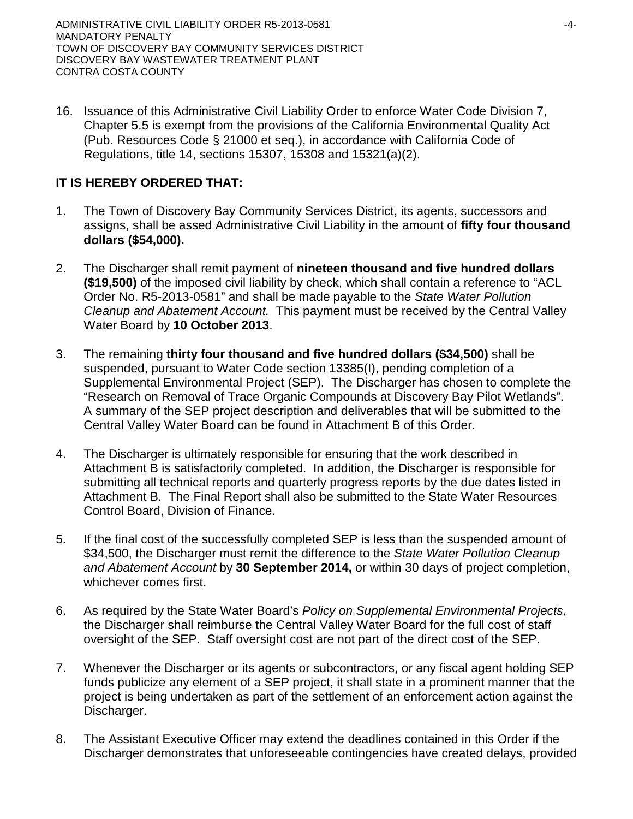16. Issuance of this Administrative Civil Liability Order to enforce Water Code Division 7, Chapter 5.5 is exempt from the provisions of the California Environmental Quality Act (Pub. Resources Code § 21000 et seq.), in accordance with California Code of Regulations, title 14, sections 15307, 15308 and 15321(a)(2).

# **IT IS HEREBY ORDERED THAT:**

- 1. The Town of Discovery Bay Community Services District, its agents, successors and assigns, shall be assed Administrative Civil Liability in the amount of **fifty four thousand dollars (\$54,000).**
- 2. The Discharger shall remit payment of **nineteen thousand and five hundred dollars (\$19,500)** of the imposed civil liability by check, which shall contain a reference to "ACL Order No. R5-2013-0581" and shall be made payable to the *State Water Pollution Cleanup and Abatement Account.* This payment must be received by the Central Valley Water Board by **10 October 2013**.
- 3. The remaining **thirty four thousand and five hundred dollars (\$34,500)** shall be suspended, pursuant to Water Code section 13385(I), pending completion of a Supplemental Environmental Project (SEP). The Discharger has chosen to complete the "Research on Removal of Trace Organic Compounds at Discovery Bay Pilot Wetlands". A summary of the SEP project description and deliverables that will be submitted to the Central Valley Water Board can be found in Attachment B of this Order.
- 4. The Discharger is ultimately responsible for ensuring that the work described in Attachment B is satisfactorily completed. In addition, the Discharger is responsible for submitting all technical reports and quarterly progress reports by the due dates listed in Attachment B. The Final Report shall also be submitted to the State Water Resources Control Board, Division of Finance.
- 5. If the final cost of the successfully completed SEP is less than the suspended amount of \$34,500, the Discharger must remit the difference to the *State Water Pollution Cleanup and Abatement Account* by **30 September 2014,** or within 30 days of project completion, whichever comes first.
- 6. As required by the State Water Board's *Policy on Supplemental Environmental Projects,*  the Discharger shall reimburse the Central Valley Water Board for the full cost of staff oversight of the SEP. Staff oversight cost are not part of the direct cost of the SEP.
- 7. Whenever the Discharger or its agents or subcontractors, or any fiscal agent holding SEP funds publicize any element of a SEP project, it shall state in a prominent manner that the project is being undertaken as part of the settlement of an enforcement action against the Discharger.
- 8. The Assistant Executive Officer may extend the deadlines contained in this Order if the Discharger demonstrates that unforeseeable contingencies have created delays, provided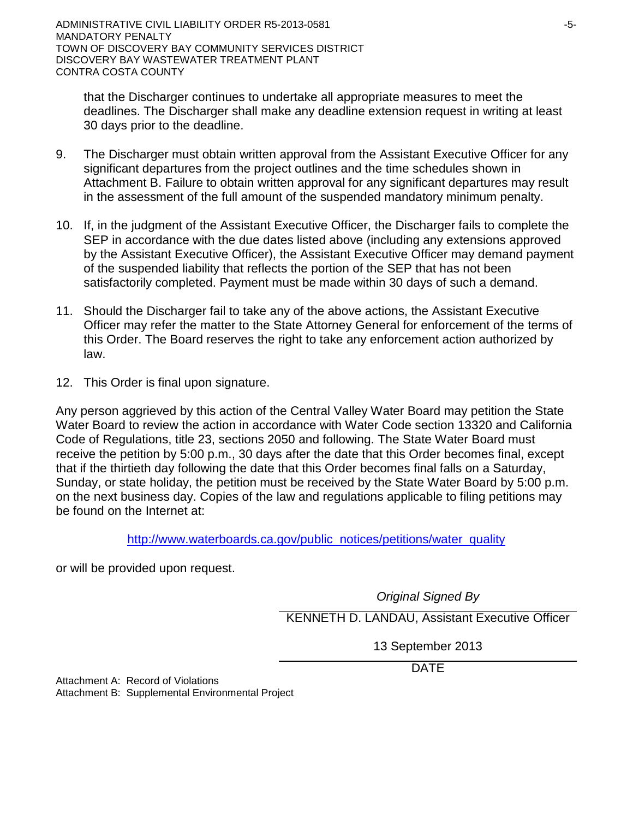that the Discharger continues to undertake all appropriate measures to meet the deadlines. The Discharger shall make any deadline extension request in writing at least 30 days prior to the deadline.

- 9. The Discharger must obtain written approval from the Assistant Executive Officer for any significant departures from the project outlines and the time schedules shown in Attachment B. Failure to obtain written approval for any significant departures may result in the assessment of the full amount of the suspended mandatory minimum penalty.
- 10. If, in the judgment of the Assistant Executive Officer, the Discharger fails to complete the SEP in accordance with the due dates listed above (including any extensions approved by the Assistant Executive Officer), the Assistant Executive Officer may demand payment of the suspended liability that reflects the portion of the SEP that has not been satisfactorily completed. Payment must be made within 30 days of such a demand.
- 11. Should the Discharger fail to take any of the above actions, the Assistant Executive Officer may refer the matter to the State Attorney General for enforcement of the terms of this Order. The Board reserves the right to take any enforcement action authorized by law.
- 12. This Order is final upon signature.

Any person aggrieved by this action of the Central Valley Water Board may petition the State Water Board to review the action in accordance with Water Code section 13320 and California Code of Regulations, title 23, sections 2050 and following. The State Water Board must receive the petition by 5:00 p.m., 30 days after the date that this Order becomes final, except that if the thirtieth day following the date that this Order becomes final falls on a Saturday, Sunday, or state holiday, the petition must be received by the State Water Board by 5:00 p.m. on the next business day. Copies of the law and regulations applicable to filing petitions may be found on the Internet at:

[http://www.waterboards.ca.gov/public\\_notices/petitions/water\\_quality](http://www.waterboards.ca.gov/public_notices/petitions/water_quality)

or will be provided upon request.

*Original Signed By*

KENNETH D. LANDAU, Assistant Executive Officer

13 September 2013

DATE

Attachment A: Record of Violations Attachment B: Supplemental Environmental Project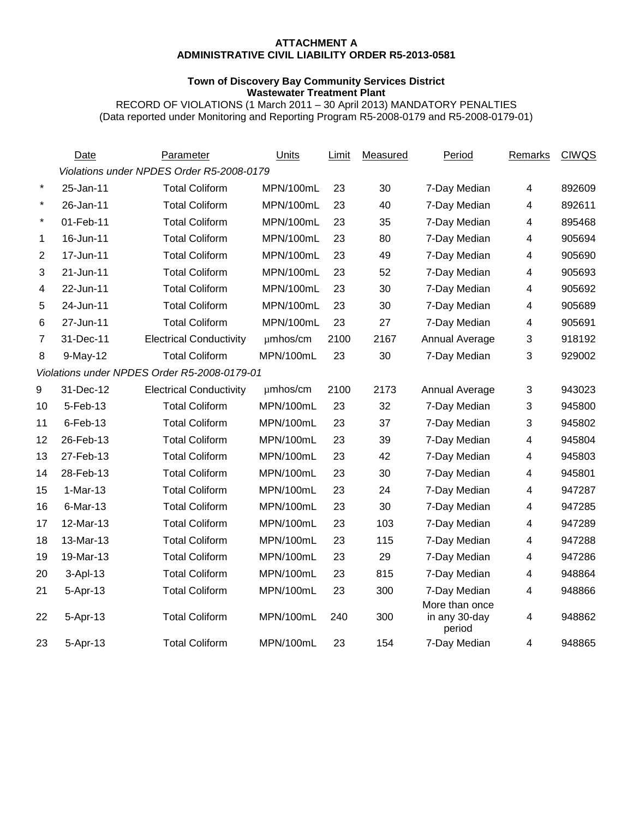#### **ATTACHMENT A ADMINISTRATIVE CIVIL LIABILITY ORDER R5-2013-0581**

#### **Town of Discovery Bay Community Services District Wastewater Treatment Plant**

RECORD OF VIOLATIONS (1 March 2011 – 30 April 2013) MANDATORY PENALTIES (Data reported under Monitoring and Reporting Program R5-2008-0179 and R5-2008-0179-01)

|                | Date        | Parameter                                    | Units     | Limit | Measured | Period                  | Remarks | <b>CIWQS</b> |
|----------------|-------------|----------------------------------------------|-----------|-------|----------|-------------------------|---------|--------------|
|                |             | Violations under NPDES Order R5-2008-0179    |           |       |          |                         |         |              |
| $\star$        | 25-Jan-11   | <b>Total Coliform</b>                        | MPN/100mL | 23    | 30       | 7-Day Median            | 4       | 892609       |
| $\star$        | 26-Jan-11   | <b>Total Coliform</b>                        | MPN/100mL | 23    | 40       | 7-Day Median            | 4       | 892611       |
| $\star$        | 01-Feb-11   | <b>Total Coliform</b>                        | MPN/100mL | 23    | 35       | 7-Day Median            | 4       | 895468       |
| 1              | 16-Jun-11   | <b>Total Coliform</b>                        | MPN/100mL | 23    | 80       | 7-Day Median            | 4       | 905694       |
| $\overline{2}$ | 17-Jun-11   | <b>Total Coliform</b>                        | MPN/100mL | 23    | 49       | 7-Day Median            | 4       | 905690       |
| 3              | 21-Jun-11   | <b>Total Coliform</b>                        | MPN/100mL | 23    | 52       | 7-Day Median            | 4       | 905693       |
| 4              | 22-Jun-11   | <b>Total Coliform</b>                        | MPN/100mL | 23    | 30       | 7-Day Median            | 4       | 905692       |
| 5              | 24-Jun-11   | <b>Total Coliform</b>                        | MPN/100mL | 23    | 30       | 7-Day Median            | 4       | 905689       |
| 6              | 27-Jun-11   | <b>Total Coliform</b>                        | MPN/100mL | 23    | 27       | 7-Day Median            | 4       | 905691       |
| 7              | 31-Dec-11   | <b>Electrical Conductivity</b>               | µmhos/cm  | 2100  | 2167     | Annual Average          | 3       | 918192       |
| 8              | $9-May-12$  | <b>Total Coliform</b>                        | MPN/100mL | 23    | 30       | 7-Day Median            | 3       | 929002       |
|                |             | Violations under NPDES Order R5-2008-0179-01 |           |       |          |                         |         |              |
| 9              | 31-Dec-12   | <b>Electrical Conductivity</b>               | µmhos/cm  | 2100  | 2173     | Annual Average          | 3       | 943023       |
| 10             | 5-Feb-13    | <b>Total Coliform</b>                        | MPN/100mL | 23    | 32       | 7-Day Median            | 3       | 945800       |
| 11             | $6$ -Feb-13 | <b>Total Coliform</b>                        | MPN/100mL | 23    | 37       | 7-Day Median            | 3       | 945802       |
| 12             | 26-Feb-13   | <b>Total Coliform</b>                        | MPN/100mL | 23    | 39       | 7-Day Median            | 4       | 945804       |
| 13             | 27-Feb-13   | <b>Total Coliform</b>                        | MPN/100mL | 23    | 42       | 7-Day Median            | 4       | 945803       |
| 14             | 28-Feb-13   | <b>Total Coliform</b>                        | MPN/100mL | 23    | 30       | 7-Day Median            | 4       | 945801       |
| 15             | $1-Mar-13$  | <b>Total Coliform</b>                        | MPN/100mL | 23    | 24       | 7-Day Median            | 4       | 947287       |
| 16             | 6-Mar-13    | <b>Total Coliform</b>                        | MPN/100mL | 23    | 30       | 7-Day Median            | 4       | 947285       |
| 17             | 12-Mar-13   | <b>Total Coliform</b>                        | MPN/100mL | 23    | 103      | 7-Day Median            | 4       | 947289       |
| 18             | 13-Mar-13   | <b>Total Coliform</b>                        | MPN/100mL | 23    | 115      | 7-Day Median            | 4       | 947288       |
| 19             | 19-Mar-13   | <b>Total Coliform</b>                        | MPN/100mL | 23    | 29       | 7-Day Median            | 4       | 947286       |
| 20             | 3-Apl-13    | <b>Total Coliform</b>                        | MPN/100mL | 23    | 815      | 7-Day Median            | 4       | 948864       |
| 21             | 5-Apr-13    | <b>Total Coliform</b>                        | MPN/100mL | 23    | 300      | 7-Day Median            | 4       | 948866       |
|                |             |                                              |           |       |          | More than once          |         |              |
| 22             | 5-Apr-13    | <b>Total Coliform</b>                        | MPN/100mL | 240   | 300      | in any 30-day<br>period | 4       | 948862       |
| 23             | 5-Apr-13    | <b>Total Coliform</b>                        | MPN/100mL | 23    | 154      | 7-Day Median            | 4       | 948865       |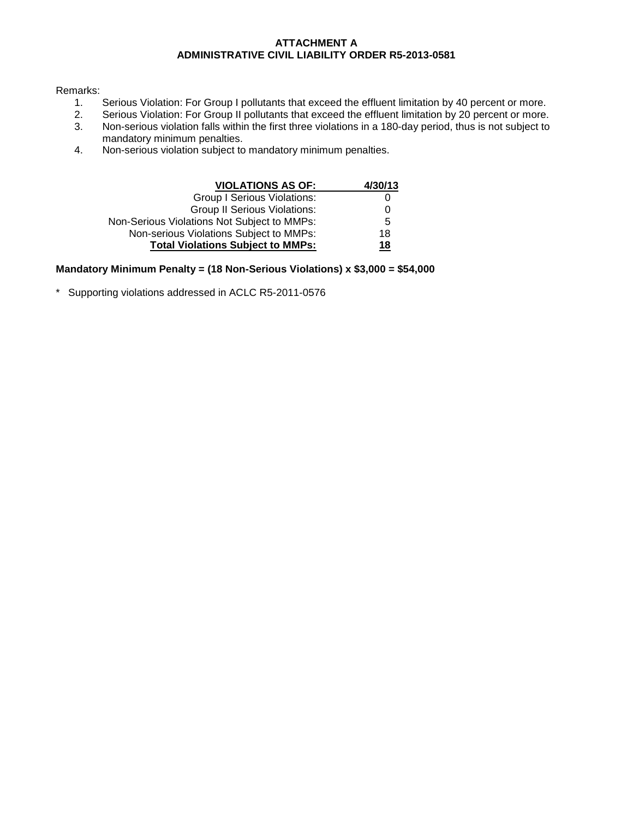#### **ATTACHMENT A ADMINISTRATIVE CIVIL LIABILITY ORDER R5-2013-0581**

# Remarks:<br>1.

- 1. Serious Violation: For Group I pollutants that exceed the effluent limitation by 40 percent or more.<br>2. Serious Violation: For Group II pollutants that exceed the effluent limitation by 20 percent or more.
- 2. Serious Violation: For Group II pollutants that exceed the effluent limitation by 20 percent or more.<br>3. Non-serious violation falls within the first three violations in a 180-day period, thus is not subject to
- 3. Non-serious violation falls within the first three violations in a 180-day period, thus is not subject to mandatory minimum penalties.
- 4. Non-serious violation subject to mandatory minimum penalties.

| <b>VIOLATIONS AS OF:</b>                    | 4/30/13 |
|---------------------------------------------|---------|
| <b>Group I Serious Violations:</b>          |         |
| <b>Group II Serious Violations:</b>         | 0       |
| Non-Serious Violations Not Subject to MMPs: | 5       |
| Non-serious Violations Subject to MMPs:     | 18      |
| <b>Total Violations Subject to MMPs:</b>    | 18      |

#### **Mandatory Minimum Penalty = (18 Non-Serious Violations) x \$3,000 = \$54,000**

\* Supporting violations addressed in ACLC R5-2011-0576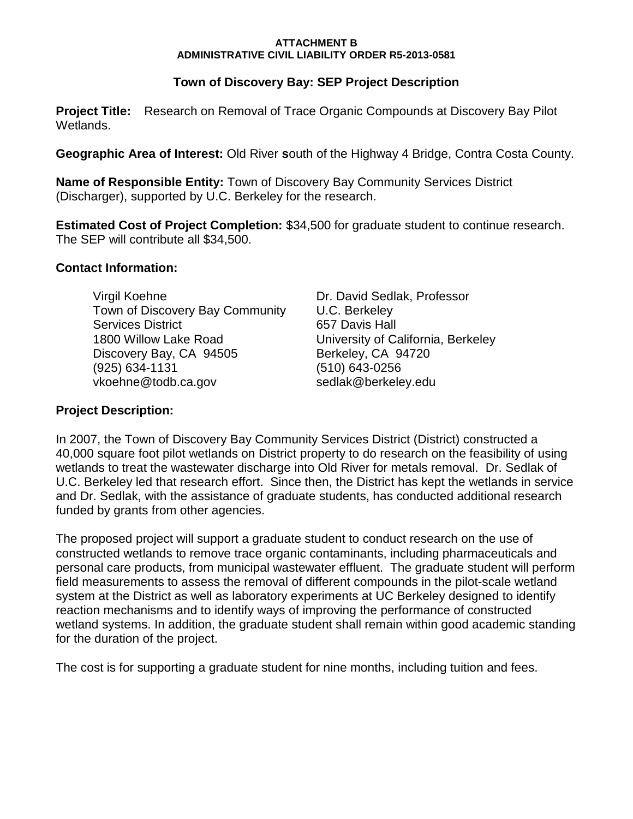#### **ATTACHMENT B ADMINISTRATIVE CIVIL LIABILITY ORDER R5-2013-0581**

# **Town of Discovery Bay: SEP Project Description**

**Project Title:** Research on Removal of Trace Organic Compounds at Discovery Bay Pilot Wetlands.

**Geographic Area of Interest:** Old River **s**outh of the Highway 4 Bridge, Contra Costa County.

**Name of Responsible Entity:** Town of Discovery Bay Community Services District (Discharger), supported by U.C. Berkeley for the research.

**Estimated Cost of Project Completion:** \$34,500 for graduate student to continue research. The SEP will contribute all \$34,500.

# **Contact Information:**

Virgil Koehne Dr. David Sedlak, Professor Town of Discovery Bay Community U.C. Berkeley Services District 657 Davis Hall 1800 Willow Lake Road University of California, Berkeley Discovery Bay, CA 94505 Berkeley, CA 94720 (925) 634-1131 (510) 643-0256 vkoehne@todb.ca.gov sedlak@berkeley.edu

# **Project Description:**

In 2007, the Town of Discovery Bay Community Services District (District) constructed a 40,000 square foot pilot wetlands on District property to do research on the feasibility of using wetlands to treat the wastewater discharge into Old River for metals removal. Dr. Sedlak of U.C. Berkeley led that research effort. Since then, the District has kept the wetlands in service and Dr. Sedlak, with the assistance of graduate students, has conducted additional research funded by grants from other agencies.

The proposed project will support a graduate student to conduct research on the use of constructed wetlands to remove trace organic contaminants, including pharmaceuticals and personal care products, from municipal wastewater effluent. The graduate student will perform field measurements to assess the removal of different compounds in the pilot-scale wetland system at the District as well as laboratory experiments at UC Berkeley designed to identify reaction mechanisms and to identify ways of improving the performance of constructed wetland systems. In addition, the graduate student shall remain within good academic standing for the duration of the project.

The cost is for supporting a graduate student for nine months, including tuition and fees.